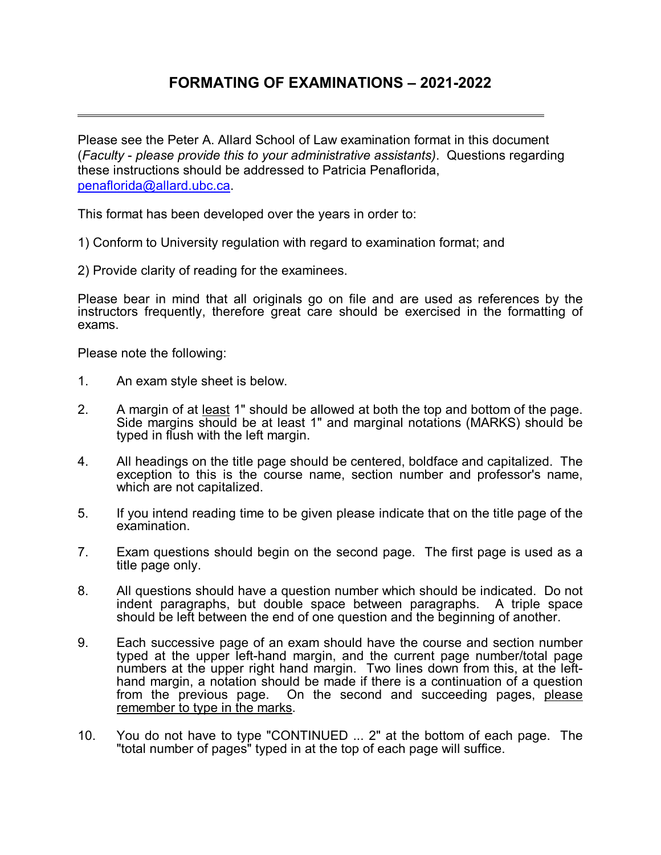# **FORMATING OF EXAMINATIONS – 2021-2022**

Please see the Peter A. Allard School of Law examination format in this document (*Faculty* - *please provide this to your administrative assistants)*. Questions regarding these instructions should be addressed to Patricia Penaflorida, [penaflorida@allard.ubc.ca.](mailto:penaflorida@allard.ubc.ca)

This format has been developed over the years in order to:

- 1) Conform to University regulation with regard to examination format; and
- 2) Provide clarity of reading for the examinees.

Please bear in mind that all originals go on file and are used as references by the instructors frequently, therefore great care should be exercised in the formatting of exams.

Please note the following:

- 1. An exam style sheet is below.
- 2. A margin of at least 1" should be allowed at both the top and bottom of the page. Side margins should be at least 1" and marginal notations (MARKS) should be typed in flush with the left margin.
- 4. All headings on the title page should be centered, boldface and capitalized. The exception to this is the course name, section number and professor's name, which are not capitalized.
- 5. If you intend reading time to be given please indicate that on the title page of the examination.
- 7. Exam questions should begin on the second page. The first page is used as a title page only.
- 8. All questions should have a question number which should be indicated. Do not indent paragraphs, but double space between paragraphs. A triple space should be left between the end of one question and the beginning of another.
- 9. Each successive page of an exam should have the course and section number typed at the upper left-hand margin, and the current page number/total page numbers at the upper right hand margin. Two lines down from this, at the lefthand margin, a notation should be made if there is a continuation of a question from the previous page. On the second and succeeding pages, please remember to type in the marks.
- 10. You do not have to type "CONTINUED ... 2" at the bottom of each page. The "total number of pages" typed in at the top of each page will suffice.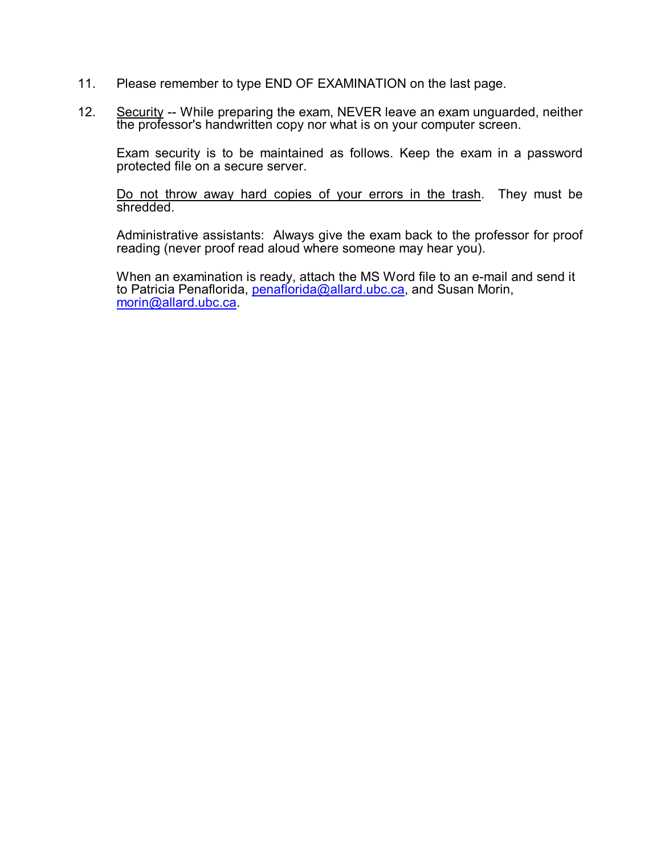- 11. Please remember to type END OF EXAMINATION on the last page.
- 12. Security -- While preparing the exam, NEVER leave an exam unguarded, neither the professor's handwritten copy nor what is on your computer screen.

Exam security is to be maintained as follows. Keep the exam in a password protected file on a secure server.

Do not throw away hard copies of your errors in the trash. They must be shredded.

Administrative assistants: Always give the exam back to the professor for proof reading (never proof read aloud where someone may hear you).

When an examination is ready, attach the MS Word file to an e-mail and send it [to Patricia Penaflorida](mailto:morin@allard.ubc.ca), <u>penaflorida@allard.ubc.ca</u>, and Susan Morin, [morin@allard.ubc.ca.](mailto:morin@allard.ubc.ca)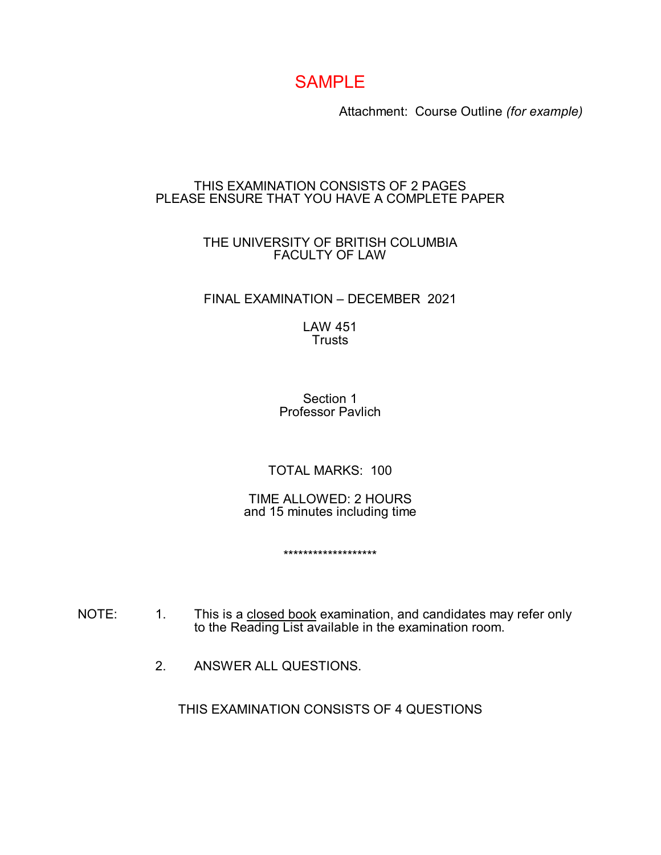# SAMPLE

Attachment: Course Outline *(for example)*

#### THIS EXAMINATION CONSISTS OF 2 PAGES PLEASE ENSURE THAT YOU HAVE A COMPLETE PAPER

#### THE UNIVERSITY OF BRITISH COLUMBIA FACULTY OF LAW

#### FINAL EXAMINATION – DECEMBER 2021

LAW 451 Trusts

Section 1 Professor Pavlich

TOTAL MARKS: 100

TIME ALLOWED: 2 HOURS and 15 minutes including time

\*\*\*\*\*\*\*\*\*\*\*\*\*\*\*\*\*\*\*

- NOTE: 1. This is a closed book examination, and candidates may refer only to the Reading List available in the examination room.
	- 2. ANSWER ALL QUESTIONS.

THIS EXAMINATION CONSISTS OF 4 QUESTIONS